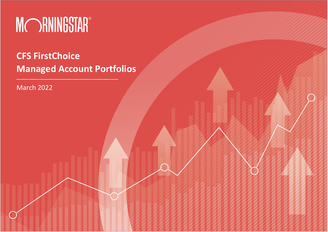

# **CFS FirstChoice Managed Account Portfolios**

March 2022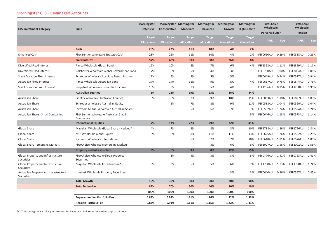### Morningstar CFS FC Managed Accounts

|                                                      |                                                       | Morningstar        |                    | Morningstar Morningstar | Morningstar Morningstar |                    | Morningstar        | <b>FirstChoice</b><br>Wholesale |       | <b>FirstChoice</b><br>Wholesale |       |
|------------------------------------------------------|-------------------------------------------------------|--------------------|--------------------|-------------------------|-------------------------|--------------------|--------------------|---------------------------------|-------|---------------------------------|-------|
| <b>CFS Investment Category</b>                       | <b>Fund</b>                                           | <b>Defensive</b>   | Conservative       | Moderate                | <b>Balanced</b>         | Growth             | <b>High Growth</b> | <b>Personal Super</b>           |       | <b>Pension</b>                  |       |
|                                                      |                                                       | <b>Target</b>      | <b>Target</b>      | <b>Target</b>           | <b>Target</b>           | <b>Target</b>      | <b>Target</b>      |                                 |       |                                 |       |
|                                                      |                                                       | <b>Allocations</b> | <b>Allocations</b> | <b>Allocations</b>      | <b>Allocations</b>      | <b>Allocations</b> | <b>Allocations</b> | <b>APIR</b>                     | Fee   | <b>APIR</b>                     | Fee   |
|                                                      | Cash                                                  | 28%                | 22%                | 11%                     | 10%                     | 4%                 | 2%                 |                                 |       |                                 |       |
| <b>Enhanced Cash</b>                                 | First Sentier Wholesale Strategic Cash                | 28%                | 22%                | 11%                     | 10%                     | 4%                 | 2%                 | <b>FSF0610AU</b>                | 0.29% | <b>FSF0538AU</b>                | 0.29% |
|                                                      | <b>Fixed Interest</b>                                 | 57%                | 48%                | 39%                     | 30%                     | 26%                | 8%                 |                                 |       |                                 |       |
| Diversified Fixed Interest                           | Pimco Wholesale Global Bond                           | 12%                | 10%                | 8%                      | 7%                      | 6%                 | 4%                 | <b>FSF1393AU</b>                | 1.11% | <b>FSF1399AU</b>                | 1.11% |
| Diversified Fixed Interest                           | Colchester Wholesale Global Government Bond           | 7%                 | 6%                 | 5%                      | 4%                      | 3%                 |                    | <b>FSF6700AU</b>                | 1.00% | <b>FSF7004AU</b>                | 1.00% |
| <b>Short Duration Fixed Interest</b>                 | Schroder Wholesale Absolute Return Income             | 11%                | 9%                 | 8%                      | 5%                      | 5%                 |                    | <b>FSF0649AU</b>                | 0.94% | FSF0577AU                       | 0.94% |
| <b>Australian Fixed Interest</b>                     | Pimco Wholesale Australian Bond                       | 17%                | 14%                | 11%                     | 9%                      | 8%                 | 4%                 | <b>FSF0617AU</b>                | 0.76% | <b>FSF0544AU</b>                | 0.76% |
| <b>Short Duration Fixed Interest</b>                 | Perpetual Wholesale Diversified Income                | 10%                | 9%                 | 7%                      | 5%                      | 4%                 |                    | <b>FSF1256AU</b>                | 0.95% | <b>FSF1250AU</b>                | 0.95% |
|                                                      | <b>Australian Equities</b>                            | 5%                 | 11%                | 19%                     | 23%                     | 26%                | 34%                |                                 |       |                                 |       |
| <b>Australian Share</b>                              | <b>Fidelity Wholesale Australian Equities</b>         | 5%                 | 6%                 | 7%                      | 9%                      | 10%                | 11%                | <b>FSF0833AU</b>                | 1.10% | <b>FSF0827AU</b>                | 1.09% |
| <b>Australian Share</b>                              | Schroder Wholesale Australian Equity                  |                    | 5%                 | 7%                      | 8%                      | 9%                 | 11%                | <b>FSF0588AU</b>                | 1.04% | <b>FSF0520AU</b>                | 1.04% |
| <b>Australian Share</b>                              | Investors Mutual Wholesale Australian Share           |                    |                    | 5%                      | 6%                      | 7%                 | 7%                 | <b>FSF0592AU</b>                | 1.24% | <b>FSF0524AU</b>                | 1.24% |
| Australian Share - Small Companies                   | First Sentier Wholesale Australian Small<br>Companies |                    |                    |                         |                         |                    | 5%                 | <b>FSF0646AU</b>                | 1.15% | FSF0573AU                       | 1.14% |
|                                                      | <b>International Equities</b>                         | 7%                 | 13%                | 22%                     | 29%                     | 32%                | 41%                |                                 |       |                                 |       |
| Global Share                                         | Magellan Wholesale Global Share - Hedged*             | 4%                 | 7%                 | 8%                      | 8%                      | 8%                 | 10%                | <b>FSF1788AU</b>                | 1.86% | <b>FSF1796AU</b>                | 1.84% |
| Global Share                                         | MFS Wholesale Global Equity                           | 3%                 | 6%                 | 8%                      | 11%                     | 11%                | 13%                | <b>FSF0625AU</b>                | 1.26% | <b>FSF0552AU</b>                | 1.25% |
| <b>Global Share</b>                                  | Platinum Wholesale International                      |                    |                    | 6%                      | 7%                      | 7%                 | 10%                | <b>FSF0648AU</b>                | 1.81% | <b>FSF0576AU</b>                | 1.80% |
| Global Share - Emerging Markets                      | <b>FirstChoice Wholesale Emerging Markets</b>         |                    |                    |                         | 3%                      | 6%                 | 8%                 | <b>FSF1007AU</b>                | 1.56% | <b>FSF1002AU</b>                | 1.55% |
|                                                      | <b>Property and Infrastructure</b>                    | 3%                 | 6%                 | 9%                      | 8%                      | 12%                | 15%                |                                 |       |                                 |       |
| Global Property and Infrastructure<br>Securities     | FirstChoice Wholesale Global Property<br>Securities   |                    | 3%                 | 4%                      | 3%                      | 3%                 | 5%                 | FSF0776AU                       | 1.41% | FSF0763AU                       | 1.41% |
| Global Property and Infrastructure<br>Securities     | Magellan Wholesale Infrastructure*                    | 3%                 | 3%                 | 5%                      | 5%                      | 6%                 | 7%                 | <b>FSF1790AU</b>                | 1.73% | <b>FSF1798AU</b>                | 1.74% |
| Australian Property and Infrastructure<br>Securities | Ironbark Wholesale Property Securities                |                    |                    |                         |                         | 3%                 | 3%                 | <b>FSF0640AU</b>                | 0.86% | FSF0567AU                       | 0.85% |
|                                                      | <b>Total Growth</b>                                   | 15%                | 30%                | 50%                     | 60%                     | 70%                | 90%                |                                 |       |                                 |       |
|                                                      | <b>Total Defensive</b>                                | 85%                | 70%                | 50%                     | 40%                     | 30%                | 10%                |                                 |       |                                 |       |
|                                                      |                                                       | 100%               | 100%               | 100%                    | 100%                    | 100%               | 100%               |                                 |       |                                 |       |
|                                                      | <b>Superannuation Portfolio Fee</b>                   | 0.83%              | 0.93%              | 1.11%                   | 1.16%                   | 1.22%              | 1.33%              |                                 |       |                                 |       |
|                                                      | <b>Pension Portfolio Fee</b>                          | 0.83%              | 0.93%              | 1.11%                   | 1.15%                   | 1.22%              | 1.33%              |                                 |       |                                 |       |

© 2022 Morningstar, Inc. All rights reserved. For important disclosures see the last page of this report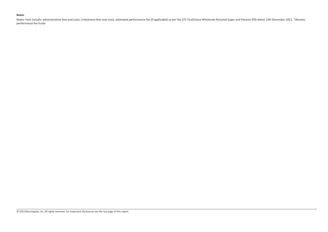### **Notes**

Notes: Fees include: administration fees and costs, investment fees and costs, estimated performance fee (if applicable) as per the CFS FirstChoice Wholesale Personal Super and Pension PDS dated 13th December 2021. \*denote performance fee funds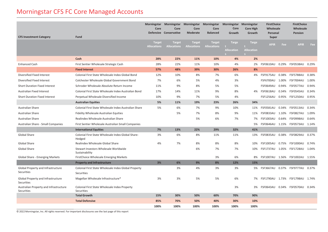## Morningstar CFS FC Core Managed Accounts

| <b>CFS Investment Category</b>                          | <b>Fund</b>                                                        | <b>Morningstar</b><br>Core          | Morningstar Morningstar Morningstar<br>Core<br>Defensive Conservative | Core<br>Moderate                    | Core<br><b>Balanced</b>             | Morningstar Morningstar<br>Core<br>Growth | <b>Core High</b><br>Growth        | <b>FirstChoice</b><br>Wholesale<br>Personal<br><b>Super</b> |       | <b>FirstChoice</b><br>Wholesale<br>Pension |       |
|---------------------------------------------------------|--------------------------------------------------------------------|-------------------------------------|-----------------------------------------------------------------------|-------------------------------------|-------------------------------------|-------------------------------------------|-----------------------------------|-------------------------------------------------------------|-------|--------------------------------------------|-------|
|                                                         |                                                                    | <b>Target</b><br><b>Allocations</b> | <b>Target</b><br><b>Allocations</b>                                   | <b>Target</b><br><b>Allocations</b> | <b>Target</b><br><b>Allocations</b> | <b>Targe</b><br><b>Allocation</b><br>S    | <b>Targe</b><br><b>Allocation</b> | <b>APIR</b>                                                 | Fee   | <b>APIR</b>                                | Fee   |
|                                                         | Cash                                                               | 28%                                 | 22%                                                                   | 11%                                 | 10%                                 | 4%                                        | 2%                                |                                                             |       |                                            |       |
| <b>Enhanced Cash</b>                                    | First Sentier Wholesale Strategic Cash                             | 28%                                 | 22%                                                                   | 11%                                 | 10%                                 | 4%                                        | 2%                                |                                                             |       | FSF0610AU 0.29% FSF0538AU 0.29%            |       |
|                                                         | <b>Fixed Interest</b>                                              | 57%                                 | 48%                                                                   | 39%                                 | 30%                                 | 26%                                       | 8%                                |                                                             |       |                                            |       |
| Diversified Fixed Interest                              | Colonial First State Wholesale Index Global Bond                   | 12%                                 | 10%                                                                   | 8%                                  | 7%                                  | 6%                                        | 4%                                | FSF9175AU 0.38%                                             |       | <b>FSF5788AU</b>                           | 0.38% |
| Diversified Fixed Interest                              | Colchester Wholesale Global Government Bond                        | 7%                                  | 6%                                                                    | 5%                                  | 4%                                  | 3%                                        |                                   | FSF6700AU 1.00%                                             |       | FSF7004AU                                  | 1.00% |
| <b>Short Duration Fixed Interest</b>                    | Schroder Wholesale Absolute Return Income                          | 11%                                 | 9%                                                                    | 8%                                  | 5%                                  | 5%                                        |                                   | <b>FSF0649AU</b>                                            | 0.94% | FSF0577AU                                  | 0.94% |
| <b>Australian Fixed Interest</b>                        | Colonial First State Wholesale Index Australian Bond               | 17%                                 | 14%                                                                   | 11%                                 | 9%                                  | 8%                                        | 4%                                | <b>FSF0618AU</b>                                            | 0.34% | FSF0545AU                                  | 0.34% |
| <b>Short Duration Fixed Interest</b>                    | Perpetual Wholesale Diversified Income                             | 10%                                 | 9%                                                                    | 7%                                  | 5%                                  | 4%                                        |                                   |                                                             |       | FSF1256AU 0.95% FSF1250AU                  | 0.95% |
|                                                         | <b>Australian Equities</b>                                         | 5%                                  | 11%                                                                   | 19%                                 | 23%                                 | 26%                                       | 34%                               |                                                             |       |                                            |       |
| Australian Share                                        | Colonial First State Wholesale Index Australian Share              | 5%                                  | 6%                                                                    | 7%                                  | 9%                                  | 10%                                       | 11%                               | FSF0581AU 0.34%                                             |       | FSF0513AU                                  | 0.34% |
| Australian Share                                        | Fidelity Wholesale Australian Equities                             |                                     | 5%                                                                    | 7%                                  | 8%                                  | 9%                                        | 11%                               | FSF0833AU 1.10%                                             |       | <b>FSF0827AU</b>                           | 1.09% |
| Australian Share                                        | Realindex Wholesale Australian Share                               |                                     |                                                                       | 5%                                  | 6%                                  | 7%                                        | 7%                                | <b>FSF1003AU</b>                                            | 0.64% | FSF0998AU                                  | 0.64% |
| Australian Share - Small Companies                      | First Sentier Wholesale Australian Small Companies                 |                                     |                                                                       |                                     |                                     |                                           | 5%                                |                                                             |       | FSF0646AU 1.15% FSF0573AU                  | 1.14% |
|                                                         | <b>International Equities</b>                                      | 7%                                  | 13%                                                                   | 22%                                 | 29%                                 | 32%                                       | 41%                               |                                                             |       |                                            |       |
| Global Share                                            | Colonial First State Wholesale Index Global Share-<br>Hedged       | 3%                                  | 6%                                                                    | 8%                                  | 11%                                 | 11%                                       | 13%                               | FSF0835AU 0.38%                                             |       | FSF0829AU                                  | 0.37% |
| <b>Global Share</b>                                     | Realindex Wholesale Global Share                                   | 4%                                  | 7%                                                                    | 8%                                  | 8%                                  | 8%                                        | 10%                               | <b>FSF1005AU</b>                                            | 0.75% | <b>FSF1000AU</b>                           | 0.74% |
| Global Share                                            | Stewart Investors Wholesale Worldwide<br>Sustainability            |                                     |                                                                       | 6%                                  | 7%                                  | 7%                                        | 10%                               | FSF1737AU 1.05%                                             |       | FSF1728AU                                  | 1.04% |
| <b>Global Share - Emerging Markets</b>                  | FirstChoice Wholesale Emerging Markets                             |                                     |                                                                       |                                     | 3%                                  | 6%                                        | 8%                                |                                                             |       | FSF1007AU 1.56% FSF1002AU                  | 1.55% |
|                                                         | <b>Property and Infrastructure</b>                                 | 3%                                  | 6%                                                                    | 9%                                  | 8%                                  | 12%                                       | 15%                               |                                                             |       |                                            |       |
| Global Property and Infrastructure<br>Securities        | Colonial First State Wholesale Index Global Property<br>Securities |                                     | 3%                                                                    | 4%                                  | 3%                                  | 3%                                        |                                   | 5% FSF3667AU 0.37% FSF9777AU                                |       |                                            | 0.37% |
| Global Property and Infrastructure<br><b>Securities</b> | Magellan Wholesale Infrastructure*                                 | 3%                                  | 3%                                                                    | 5%                                  | 5%                                  | 6%                                        | 7%                                | FSF1790AU 1.73% FSF1798AU                                   |       |                                            | 1.74% |
| Australian Property and Infrastructure<br>Securities    | Colonial First State Wholesale Index Property<br>Securities        |                                     |                                                                       |                                     |                                     | 3%                                        | 3%                                | FSF0643AU                                                   | 0.34% | FSF0570AU                                  | 0.34% |
|                                                         | <b>Total Growth</b>                                                | 15%                                 | 30%                                                                   | 50%                                 | 60%                                 | 70%                                       | 90%                               |                                                             |       |                                            |       |
|                                                         | <b>Total Defensive</b>                                             | 85%                                 | 70%                                                                   | 50%                                 | 40%                                 | 30%                                       | 10%                               |                                                             |       |                                            |       |
|                                                         |                                                                    | 100%                                | 100%                                                                  | 100%                                | 100%                                | 100%                                      | 100%                              |                                                             |       |                                            |       |

© 2022 Morningstar, Inc. All rights reserved. For important disclosures see the last page of this report